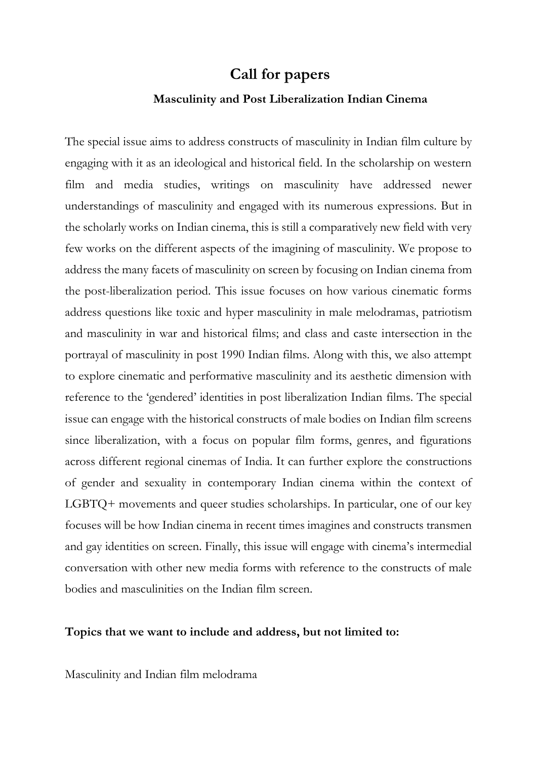# **Call for papers**

#### **Masculinity and Post Liberalization Indian Cinema**

The special issue aims to address constructs of masculinity in Indian film culture by engaging with it as an ideological and historical field. In the scholarship on western film and media studies, writings on masculinity have addressed newer understandings of masculinity and engaged with its numerous expressions. But in the scholarly works on Indian cinema, this is still a comparatively new field with very few works on the different aspects of the imagining of masculinity. We propose to address the many facets of masculinity on screen by focusing on Indian cinema from the post-liberalization period. This issue focuses on how various cinematic forms address questions like toxic and hyper masculinity in male melodramas, patriotism and masculinity in war and historical films; and class and caste intersection in the portrayal of masculinity in post 1990 Indian films. Along with this, we also attempt to explore cinematic and performative masculinity and its aesthetic dimension with reference to the 'gendered' identities in post liberalization Indian films. The special issue can engage with the historical constructs of male bodies on Indian film screens since liberalization, with a focus on popular film forms, genres, and figurations across different regional cinemas of India. It can further explore the constructions of gender and sexuality in contemporary Indian cinema within the context of LGBTQ+ movements and queer studies scholarships. In particular, one of our key focuses will be how Indian cinema in recent times imagines and constructs transmen and gay identities on screen. Finally, this issue will engage with cinema's intermedial conversation with other new media forms with reference to the constructs of male bodies and masculinities on the Indian film screen.

### **Topics that we want to include and address, but not limited to:**

Masculinity and Indian film melodrama